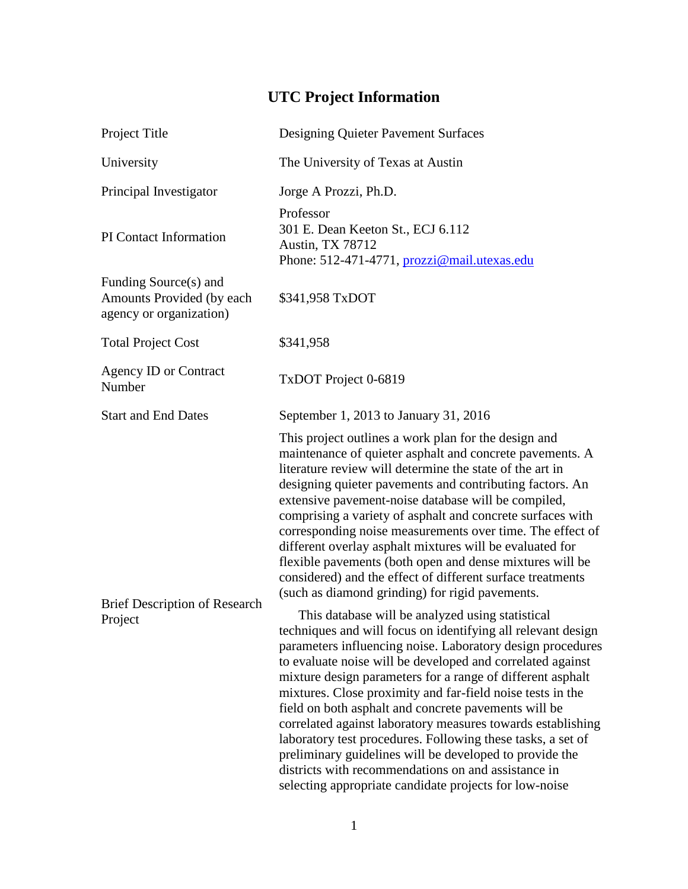## **UTC Project Information**

| Project Title                                                                 | Designing Quieter Pavement Surfaces                                                                                                                                                                                                                                                                                                                                                                                                                                                                                                                                                                                                                                                                                                        |
|-------------------------------------------------------------------------------|--------------------------------------------------------------------------------------------------------------------------------------------------------------------------------------------------------------------------------------------------------------------------------------------------------------------------------------------------------------------------------------------------------------------------------------------------------------------------------------------------------------------------------------------------------------------------------------------------------------------------------------------------------------------------------------------------------------------------------------------|
| University                                                                    | The University of Texas at Austin                                                                                                                                                                                                                                                                                                                                                                                                                                                                                                                                                                                                                                                                                                          |
| Principal Investigator                                                        | Jorge A Prozzi, Ph.D.                                                                                                                                                                                                                                                                                                                                                                                                                                                                                                                                                                                                                                                                                                                      |
| PI Contact Information                                                        | Professor<br>301 E. Dean Keeton St., ECJ 6.112<br><b>Austin, TX 78712</b><br>Phone: 512-471-4771, prozzi@mail.utexas.edu                                                                                                                                                                                                                                                                                                                                                                                                                                                                                                                                                                                                                   |
| Funding Source(s) and<br>Amounts Provided (by each<br>agency or organization) | \$341,958 TxDOT                                                                                                                                                                                                                                                                                                                                                                                                                                                                                                                                                                                                                                                                                                                            |
| <b>Total Project Cost</b>                                                     | \$341,958                                                                                                                                                                                                                                                                                                                                                                                                                                                                                                                                                                                                                                                                                                                                  |
| <b>Agency ID or Contract</b><br>Number                                        | TxDOT Project 0-6819                                                                                                                                                                                                                                                                                                                                                                                                                                                                                                                                                                                                                                                                                                                       |
| <b>Start and End Dates</b>                                                    | September 1, 2013 to January 31, 2016                                                                                                                                                                                                                                                                                                                                                                                                                                                                                                                                                                                                                                                                                                      |
| <b>Brief Description of Research</b><br>Project                               | This project outlines a work plan for the design and<br>maintenance of quieter asphalt and concrete pavements. A<br>literature review will determine the state of the art in<br>designing quieter pavements and contributing factors. An<br>extensive pavement-noise database will be compiled,<br>comprising a variety of asphalt and concrete surfaces with<br>corresponding noise measurements over time. The effect of<br>different overlay asphalt mixtures will be evaluated for<br>flexible pavements (both open and dense mixtures will be<br>considered) and the effect of different surface treatments<br>(such as diamond grinding) for rigid pavements.                                                                        |
|                                                                               | This database will be analyzed using statistical<br>techniques and will focus on identifying all relevant design<br>parameters influencing noise. Laboratory design procedures<br>to evaluate noise will be developed and correlated against<br>mixture design parameters for a range of different asphalt<br>mixtures. Close proximity and far-field noise tests in the<br>field on both asphalt and concrete pavements will be<br>correlated against laboratory measures towards establishing<br>laboratory test procedures. Following these tasks, a set of<br>preliminary guidelines will be developed to provide the<br>districts with recommendations on and assistance in<br>selecting appropriate candidate projects for low-noise |